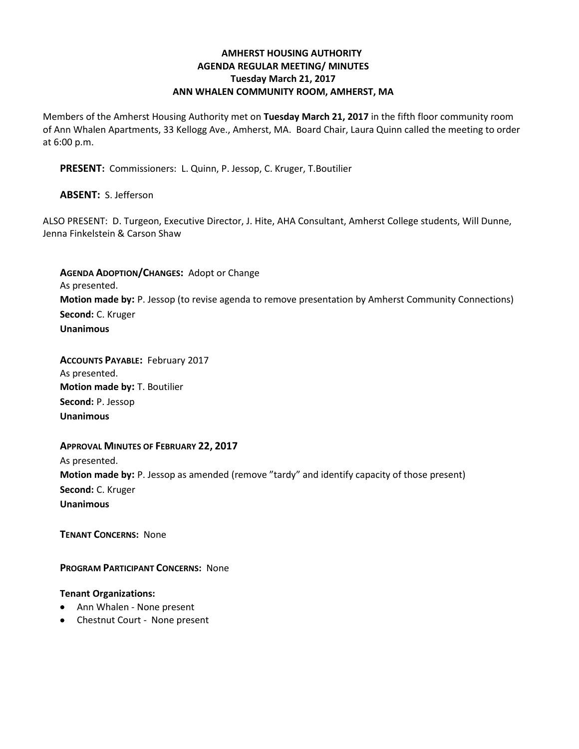# **AMHERST HOUSING AUTHORITY AGENDA REGULAR MEETING/ MINUTES Tuesday March 21, 2017 ANN WHALEN COMMUNITY ROOM, AMHERST, MA**

Members of the Amherst Housing Authority met on **Tuesday March 21, 2017** in the fifth floor community room of Ann Whalen Apartments, 33 Kellogg Ave., Amherst, MA. Board Chair, Laura Quinn called the meeting to order at 6:00 p.m.

**PRESENT:** Commissioners: L. Quinn, P. Jessop, C. Kruger, T.Boutilier

## **ABSENT:** S. Jefferson

ALSO PRESENT: D. Turgeon, Executive Director, J. Hite, AHA Consultant, Amherst College students, Will Dunne, Jenna Finkelstein & Carson Shaw

**AGENDA ADOPTION/CHANGES:** Adopt or Change As presented. **Motion made by:** P. Jessop (to revise agenda to remove presentation by Amherst Community Connections) **Second:** C. Kruger **Unanimous**

**ACCOUNTS PAYABLE:** February 2017 As presented. **Motion made by:** T. Boutilier **Second:** P. Jessop **Unanimous**

### **APPROVAL MINUTES OF FEBRUARY 22, 2017**

As presented. **Motion made by:** P. Jessop as amended (remove "tardy" and identify capacity of those present) **Second:** C. Kruger **Unanimous**

**TENANT CONCERNS:** None

**PROGRAM PARTICIPANT CONCERNS:** None

### **Tenant Organizations:**

- Ann Whalen None present
- Chestnut Court None present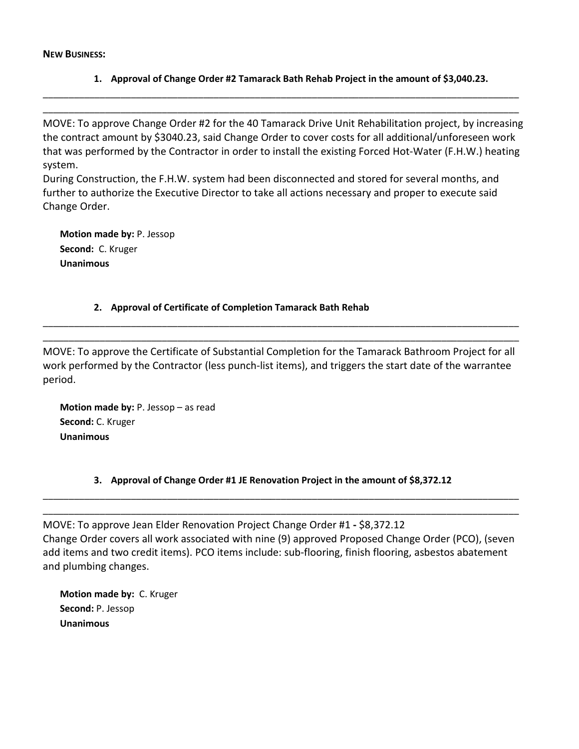**NEW BUSINESS:**

## **1. Approval of Change Order #2 Tamarack Bath Rehab Project in the amount of \$3,040.23.**

MOVE: To approve Change Order #2 for the 40 Tamarack Drive Unit Rehabilitation project, by increasing the contract amount by \$3040.23, said Change Order to cover costs for all additional/unforeseen work that was performed by the Contractor in order to install the existing Forced Hot-Water (F.H.W.) heating system.

\_\_\_\_\_\_\_\_\_\_\_\_\_\_\_\_\_\_\_\_\_\_\_\_\_\_\_\_\_\_\_\_\_\_\_\_\_\_\_\_\_\_\_\_\_\_\_\_\_\_\_\_\_\_\_\_\_\_\_\_\_\_\_\_\_\_\_\_\_\_\_\_\_\_\_\_\_\_\_\_\_\_\_\_\_\_\_\_\_\_\_\_ \_\_\_\_\_\_\_\_\_\_\_\_\_\_\_\_\_\_\_\_\_\_\_\_\_\_\_\_\_\_\_\_\_\_\_\_\_\_\_\_\_\_\_\_\_\_\_\_\_\_\_\_\_\_\_\_\_\_\_\_\_\_\_\_\_\_\_\_\_\_\_\_\_\_\_\_\_\_\_\_\_\_\_\_\_\_\_\_\_\_\_\_

During Construction, the F.H.W. system had been disconnected and stored for several months, and further to authorize the Executive Director to take all actions necessary and proper to execute said Change Order.

**Motion made by:** P. Jessop **Second:** C. Kruger **Unanimous**

## **2. Approval of Certificate of Completion Tamarack Bath Rehab**

MOVE: To approve the Certificate of Substantial Completion for the Tamarack Bathroom Project for all work performed by the Contractor (less punch-list items), and triggers the start date of the warrantee period.

\_\_\_\_\_\_\_\_\_\_\_\_\_\_\_\_\_\_\_\_\_\_\_\_\_\_\_\_\_\_\_\_\_\_\_\_\_\_\_\_\_\_\_\_\_\_\_\_\_\_\_\_\_\_\_\_\_\_\_\_\_\_\_\_\_\_\_\_\_\_\_\_\_\_\_\_\_\_\_\_\_\_\_\_\_\_\_\_\_\_\_\_ \_\_\_\_\_\_\_\_\_\_\_\_\_\_\_\_\_\_\_\_\_\_\_\_\_\_\_\_\_\_\_\_\_\_\_\_\_\_\_\_\_\_\_\_\_\_\_\_\_\_\_\_\_\_\_\_\_\_\_\_\_\_\_\_\_\_\_\_\_\_\_\_\_\_\_\_\_\_\_\_\_\_\_\_\_\_\_\_\_\_\_\_

**Motion made by:** P. Jessop – as read **Second:** C. Kruger **Unanimous**

# **3. Approval of Change Order #1 JE Renovation Project in the amount of \$8,372.12**

\_\_\_\_\_\_\_\_\_\_\_\_\_\_\_\_\_\_\_\_\_\_\_\_\_\_\_\_\_\_\_\_\_\_\_\_\_\_\_\_\_\_\_\_\_\_\_\_\_\_\_\_\_\_\_\_\_\_\_\_\_\_\_\_\_\_\_\_\_\_\_\_\_\_\_\_\_\_\_\_\_\_\_\_\_\_\_\_\_\_\_\_ \_\_\_\_\_\_\_\_\_\_\_\_\_\_\_\_\_\_\_\_\_\_\_\_\_\_\_\_\_\_\_\_\_\_\_\_\_\_\_\_\_\_\_\_\_\_\_\_\_\_\_\_\_\_\_\_\_\_\_\_\_\_\_\_\_\_\_\_\_\_\_\_\_\_\_\_\_\_\_\_\_\_\_\_\_\_\_\_\_\_\_\_

MOVE: To approve Jean Elder Renovation Project Change Order #1 **-** \$8,372.12 Change Order covers all work associated with nine (9) approved Proposed Change Order (PCO), (seven add items and two credit items). PCO items include: sub-flooring, finish flooring, asbestos abatement and plumbing changes.

**Motion made by:** C. Kruger **Second:** P. Jessop **Unanimous**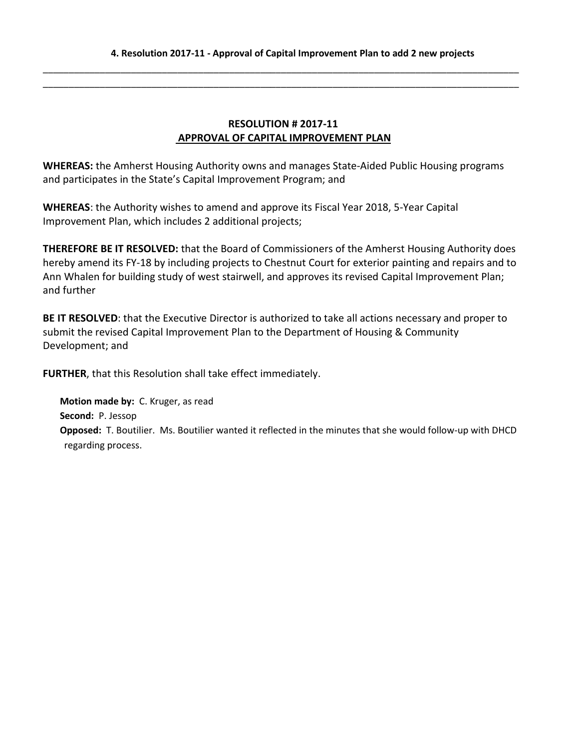\_\_\_\_\_\_\_\_\_\_\_\_\_\_\_\_\_\_\_\_\_\_\_\_\_\_\_\_\_\_\_\_\_\_\_\_\_\_\_\_\_\_\_\_\_\_\_\_\_\_\_\_\_\_\_\_\_\_\_\_\_\_\_\_\_\_\_\_\_\_\_\_\_\_\_\_\_\_\_\_\_\_\_\_\_\_\_\_\_\_\_\_ \_\_\_\_\_\_\_\_\_\_\_\_\_\_\_\_\_\_\_\_\_\_\_\_\_\_\_\_\_\_\_\_\_\_\_\_\_\_\_\_\_\_\_\_\_\_\_\_\_\_\_\_\_\_\_\_\_\_\_\_\_\_\_\_\_\_\_\_\_\_\_\_\_\_\_\_\_\_\_\_\_\_\_\_\_\_\_\_\_\_\_\_

# **RESOLUTION # 2017-11 APPROVAL OF CAPITAL IMPROVEMENT PLAN**

**WHEREAS:** the Amherst Housing Authority owns and manages State-Aided Public Housing programs and participates in the State's Capital Improvement Program; and

**WHEREAS**: the Authority wishes to amend and approve its Fiscal Year 2018, 5-Year Capital Improvement Plan, which includes 2 additional projects;

**THEREFORE BE IT RESOLVED:** that the Board of Commissioners of the Amherst Housing Authority does hereby amend its FY-18 by including projects to Chestnut Court for exterior painting and repairs and to Ann Whalen for building study of west stairwell, and approves its revised Capital Improvement Plan; and further

**BE IT RESOLVED**: that the Executive Director is authorized to take all actions necessary and proper to submit the revised Capital Improvement Plan to the Department of Housing & Community Development; and

**FURTHER**, that this Resolution shall take effect immediately.

**Motion made by:** C. Kruger, as read **Second:** P. Jessop **Opposed:** T. Boutilier. Ms. Boutilier wanted it reflected in the minutes that she would follow-up with DHCD regarding process.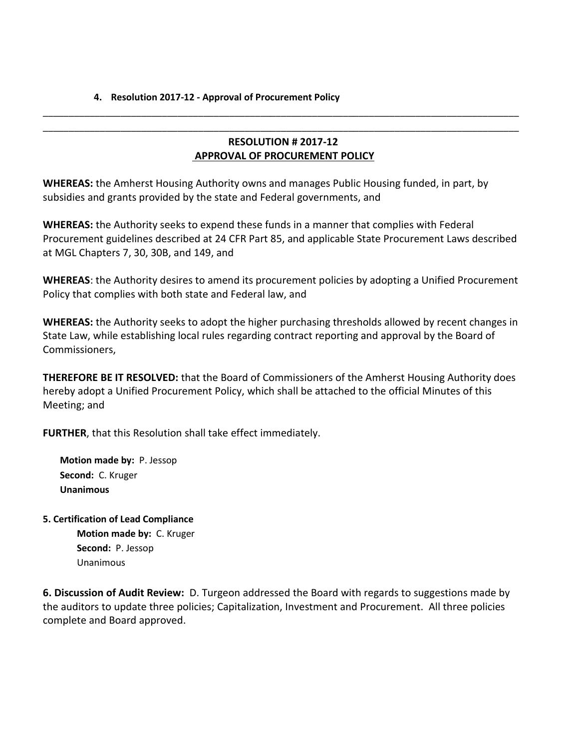### **4. Resolution 2017-12 - Approval of Procurement Policy**

# **RESOLUTION # 2017-12 APPROVAL OF PROCUREMENT POLICY**

\_\_\_\_\_\_\_\_\_\_\_\_\_\_\_\_\_\_\_\_\_\_\_\_\_\_\_\_\_\_\_\_\_\_\_\_\_\_\_\_\_\_\_\_\_\_\_\_\_\_\_\_\_\_\_\_\_\_\_\_\_\_\_\_\_\_\_\_\_\_\_\_\_\_\_\_\_\_\_\_\_\_\_\_\_\_\_\_\_\_\_\_ \_\_\_\_\_\_\_\_\_\_\_\_\_\_\_\_\_\_\_\_\_\_\_\_\_\_\_\_\_\_\_\_\_\_\_\_\_\_\_\_\_\_\_\_\_\_\_\_\_\_\_\_\_\_\_\_\_\_\_\_\_\_\_\_\_\_\_\_\_\_\_\_\_\_\_\_\_\_\_\_\_\_\_\_\_\_\_\_\_\_\_\_

**WHEREAS:** the Amherst Housing Authority owns and manages Public Housing funded, in part, by subsidies and grants provided by the state and Federal governments, and

**WHEREAS:** the Authority seeks to expend these funds in a manner that complies with Federal Procurement guidelines described at 24 CFR Part 85, and applicable State Procurement Laws described at MGL Chapters 7, 30, 30B, and 149, and

**WHEREAS**: the Authority desires to amend its procurement policies by adopting a Unified Procurement Policy that complies with both state and Federal law, and

**WHEREAS:** the Authority seeks to adopt the higher purchasing thresholds allowed by recent changes in State Law, while establishing local rules regarding contract reporting and approval by the Board of Commissioners,

**THEREFORE BE IT RESOLVED:** that the Board of Commissioners of the Amherst Housing Authority does hereby adopt a Unified Procurement Policy, which shall be attached to the official Minutes of this Meeting; and

**FURTHER**, that this Resolution shall take effect immediately.

**Motion made by:** P. Jessop **Second:** C. Kruger **Unanimous**

**5. Certification of Lead Compliance Motion made by:** C. Kruger **Second:** P. Jessop Unanimous

**6. Discussion of Audit Review:** D. Turgeon addressed the Board with regards to suggestions made by the auditors to update three policies; Capitalization, Investment and Procurement. All three policies complete and Board approved.